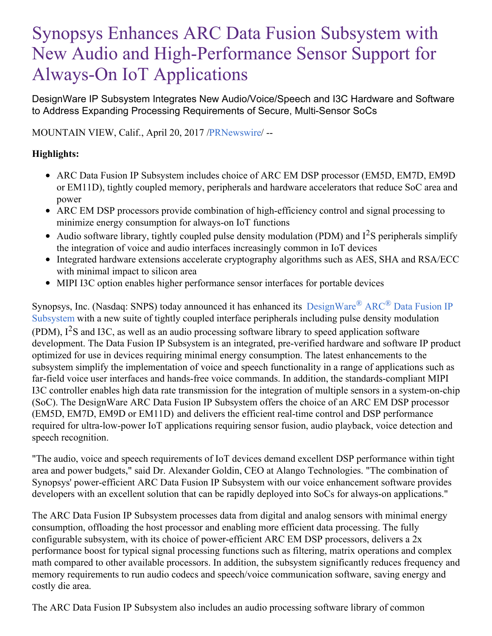# Synopsys Enhances ARC Data Fusion Subsystem with New Audio and High-Performance Sensor Support for Always-On IoT Applications

DesignWare IP Subsystem Integrates New Audio/Voice/Speech and I3C Hardware and Software to Address Expanding Processing Requirements of Secure, Multi-Sensor SoCs

MOUNTAIN VIEW, Calif., April 20, 2017 [/PRNewswire](http://www.prnewswire.com/)/ --

## **Highlights:**

- ARC Data Fusion IP Subsystem includes choice of ARC EM DSP processor (EM5D, EM7D, EM9D or EM11D), tightly coupled memory, peripherals and hardware accelerators that reduce SoC area and power
- ARC EM DSP processors provide combination of high-efficiency control and signal processing to minimize energy consumption for always-on IoT functions
- Audio software library, tightly coupled pulse density modulation (PDM) and  $I^2S$  peripherals simplify the integration of voice and audio interfaces increasingly common in IoT devices
- Integrated hardware extensions accelerate cryptography algorithms such as AES, SHA and RSA/ECC with minimal impact to silicon area
- MIPI I3C option enables higher performance sensor interfaces for portable devices

Synopsys, Inc. (Nasdaq: SNPS) today announced it has enhanced its [DesignWare](https://www.synopsys.com/dw/ipdir.php?ds=smart-data-fusion-subsystem)<sup>®</sup> ARC<sup>®</sup> Data Fusion IP Subsystem with a new suite of tightly coupled interface peripherals including pulse density modulation (PDM),  $I^2S$  and I3C, as well as an audio processing software library to speed application software development. The Data Fusion IP Subsystem is an integrated, pre-verified hardware and software IP product optimized for use in devices requiring minimal energy consumption. The latest enhancements to the subsystem simplify the implementation of voice and speech functionality in a range of applications such as far-field voice user interfaces and hands-free voice commands. In addition, the standards-compliant MIPI I3C controller enables high data rate transmission for the integration of multiple sensors in a system-on-chip (SoC). The DesignWare ARC Data Fusion IP Subsystem offers the choice of an ARC EM DSP processor (EM5D, EM7D, EM9D or EM11D) and delivers the efficient real-time control and DSP performance required for ultra-low-power IoT applications requiring sensor fusion, audio playback, voice detection and speech recognition.

"The audio, voice and speech requirements of IoT devices demand excellent DSP performance within tight area and power budgets," said Dr. Alexander Goldin, CEO at Alango Technologies. "The combination of Synopsys' power-efficient ARC Data Fusion IP Subsystem with our voice enhancement software provides developers with an excellent solution that can be rapidly deployed into SoCs for always-on applications."

The ARC Data Fusion IP Subsystem processes data from digital and analog sensors with minimal energy consumption, offloading the host processor and enabling more efficient data processing. The fully configurable subsystem, with its choice of power-efficient ARC EM DSP processors, delivers a 2x performance boost for typical signal processing functions such as filtering, matrix operations and complex math compared to other available processors. In addition, the subsystem significantly reduces frequency and memory requirements to run audio codecs and speech/voice communication software, saving energy and costly die area.

The ARC Data Fusion IP Subsystem also includes an audio processing software library of common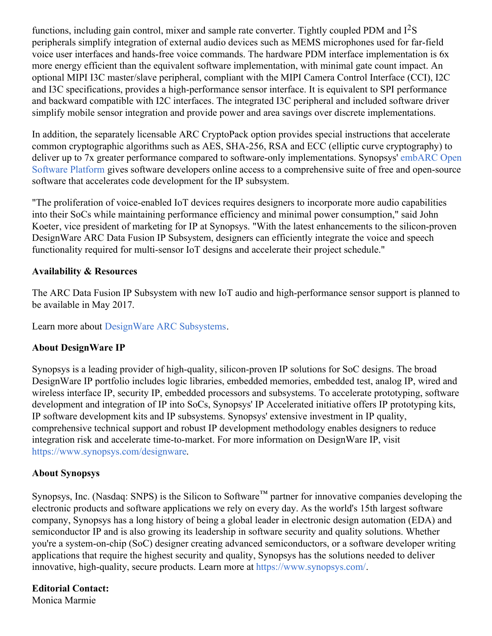functions, including gain control, mixer and sample rate converter. Tightly coupled PDM and  $I<sup>2</sup>S$ peripherals simplify integration of external audio devices such as MEMS microphones used for far-field voice user interfaces and hands-free voice commands. The hardware PDM interface implementation is 6x more energy efficient than the equivalent software implementation, with minimal gate count impact. An optional MIPI I3C master/slave peripheral, compliant with the MIPI Camera Control Interface (CCI), I2C and I3C specifications, provides a high-performance sensor interface. It is equivalent to SPI performance and backward compatible with I2C interfaces. The integrated I3C peripheral and included software driver simplify mobile sensor integration and provide power and area savings over discrete implementations.

In addition, the separately licensable ARC CryptoPack option provides special instructions that accelerate common cryptographic algorithms such as AES, SHA-256, RSA and ECC (elliptic curve cryptography) to deliver up to 7x greater performance compared to software-only [implementations.](http://www.embarc.org/) Synopsys' embARC Open Software Platform gives software developers online access to a comprehensive suite of free and open-source software that accelerates code development for the IP subsystem.

"The proliferation of voice-enabled IoT devices requires designers to incorporate more audio capabilities into their SoCs while maintaining performance efficiency and minimal power consumption," said John Koeter, vice president of marketing for IP at Synopsys. "With the latest enhancements to the silicon-proven DesignWare ARC Data Fusion IP Subsystem, designers can efficiently integrate the voice and speech functionality required for multi-sensor IoT designs and accelerate their project schedule."

#### **Availability & Resources**

The ARC Data Fusion IP Subsystem with new IoT audio and high-performance sensor support is planned to be available in May 2017.

Learn more about [DesignWare](https://www.synopsys.com/designware-ip/processor-solutions/designware-arc-subsystems.html) ARC Subsystems.

## **About DesignWare IP**

Synopsys is a leading provider of high-quality, silicon-proven IP solutions for SoC designs. The broad DesignWare IP portfolio includes logic libraries, embedded memories, embedded test, analog IP, wired and wireless interface IP, security IP, embedded processors and subsystems. To accelerate prototyping, software development and integration of IP into SoCs, Synopsys' IP Accelerated initiative offers IP prototyping kits, IP software development kits and IP subsystems. Synopsys' extensive investment in IP quality, comprehensive technical support and robust IP development methodology enables designers to reduce integration risk and accelerate time-to-market. For more information on DesignWare IP, visit [https://www.synopsys.com/designware.](https://www.synopsys.com/designware)

#### **About Synopsys**

Synopsys, Inc. (Nasdaq: SNPS) is the Silicon to Software™ partner for innovative companies developing the electronic products and software applications we rely on every day. As the world's 15th largest software company, Synopsys has a long history of being a global leader in electronic design automation (EDA) and semiconductor IP and is also growing its leadership in software security and quality solutions. Whether you're a system-on-chip (SoC) designer creating advanced semiconductors, or a software developer writing applications that require the highest security and quality, Synopsys has the solutions needed to deliver innovative, high-quality, secure products. Learn more at <https://www.synopsys.com/>.

## **Editorial Contact:**

Monica Marmie